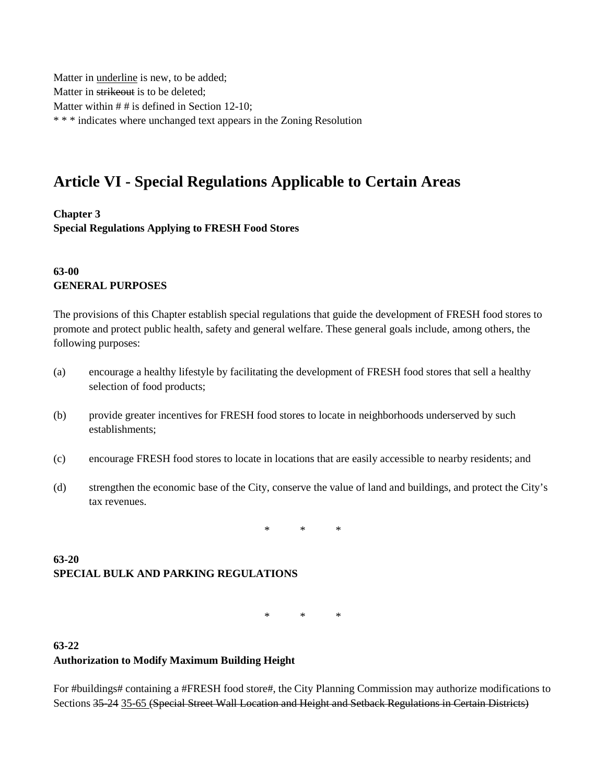Matter in underline is new, to be added; Matter in strikeout is to be deleted; Matter within # # is defined in Section 12-10; \* \* \* indicates where unchanged text appears in the Zoning Resolution

# **Article VI - Special Regulations Applicable to Certain Areas**

**Chapter 3**

**Special Regulations Applying to FRESH Food Stores**

#### **63-00 GENERAL PURPOSES**

The provisions of this Chapter establish special regulations that guide the development of FRESH food stores to promote and protect public health, safety and general welfare. These general goals include, among others, the following purposes:

- (a) encourage a healthy lifestyle by facilitating the development of FRESH food stores that sell a healthy selection of food products;
- (b) provide greater incentives for FRESH food stores to locate in neighborhoods underserved by such establishments;
- (c) encourage FRESH food stores to locate in locations that are easily accessible to nearby residents; and
- (d) strengthen the economic base of the City, conserve the value of land and buildings, and protect the City's tax revenues.

\* \* \*

## **63-20 SPECIAL BULK AND PARKING REGULATIONS**

\* \* \*

#### **63-22 Authorization to Modify Maximum Building Height**

For #buildings# containing a #FRESH food store#, the City Planning Commission may authorize modifications to Sections 35-24 35-65 (Special Street Wall Location and Height and Setback Regulations in Certain Districts)